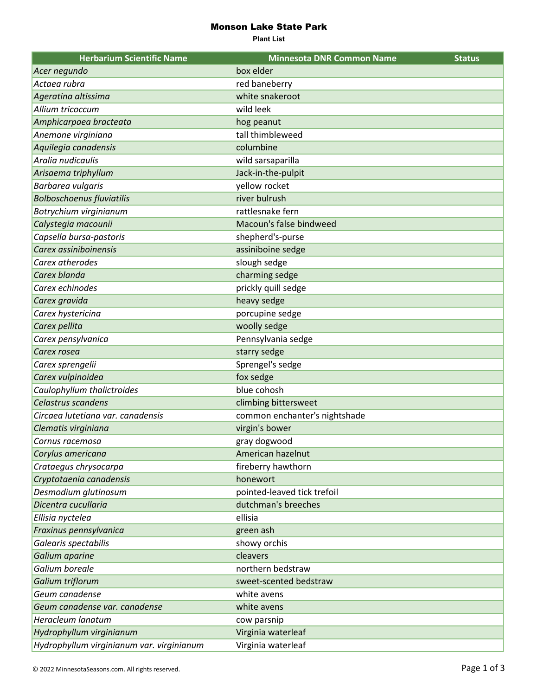## Monson Lake State Park

**Plant List**

| <b>Herbarium Scientific Name</b>          | <b>Minnesota DNR Common Name</b> | <b>Status</b> |
|-------------------------------------------|----------------------------------|---------------|
| Acer negundo                              | box elder                        |               |
| Actaea rubra                              | red baneberry                    |               |
| Ageratina altissima                       | white snakeroot                  |               |
| Allium tricoccum                          | wild leek                        |               |
| Amphicarpaea bracteata                    | hog peanut                       |               |
| Anemone virginiana                        | tall thimbleweed                 |               |
| Aquilegia canadensis                      | columbine                        |               |
| Aralia nudicaulis                         | wild sarsaparilla                |               |
| Arisaema triphyllum                       | Jack-in-the-pulpit               |               |
| Barbarea vulgaris                         | yellow rocket                    |               |
| <b>Bolboschoenus fluviatilis</b>          | river bulrush                    |               |
| Botrychium virginianum                    | rattlesnake fern                 |               |
| Calystegia macounii                       | Macoun's false bindweed          |               |
| Capsella bursa-pastoris                   | shepherd's-purse                 |               |
| Carex assiniboinensis                     | assiniboine sedge                |               |
| Carex atherodes                           | slough sedge                     |               |
| Carex blanda                              | charming sedge                   |               |
| Carex echinodes                           | prickly quill sedge              |               |
| Carex gravida                             | heavy sedge                      |               |
| Carex hystericina                         | porcupine sedge                  |               |
| Carex pellita                             | woolly sedge                     |               |
| Carex pensylvanica                        | Pennsylvania sedge               |               |
| Carex rosea                               | starry sedge                     |               |
| Carex sprengelii                          | Sprengel's sedge                 |               |
| Carex vulpinoidea                         | fox sedge                        |               |
| Caulophyllum thalictroides                | blue cohosh                      |               |
| Celastrus scandens                        | climbing bittersweet             |               |
| Circaea lutetiana var. canadensis         | common enchanter's nightshade    |               |
| Clematis virginiana                       | virgin's bower                   |               |
| Cornus racemosa                           | gray dogwood                     |               |
| Corylus americana                         | American hazelnut                |               |
| Crataegus chrysocarpa                     | fireberry hawthorn               |               |
| Cryptotaenia canadensis                   | honewort                         |               |
| Desmodium glutinosum                      | pointed-leaved tick trefoil      |               |
| Dicentra cucullaria                       | dutchman's breeches              |               |
| Ellisia nyctelea                          | ellisia                          |               |
| Fraxinus pennsylvanica                    | green ash                        |               |
| Galearis spectabilis                      | showy orchis                     |               |
| Galium aparine                            | cleavers                         |               |
| Galium boreale                            | northern bedstraw                |               |
| Galium triflorum                          | sweet-scented bedstraw           |               |
| Geum canadense                            | white avens                      |               |
| Geum canadense var. canadense             | white avens                      |               |
| Heracleum lanatum                         | cow parsnip                      |               |
| Hydrophyllum virginianum                  | Virginia waterleaf               |               |
| Hydrophyllum virginianum var. virginianum | Virginia waterleaf               |               |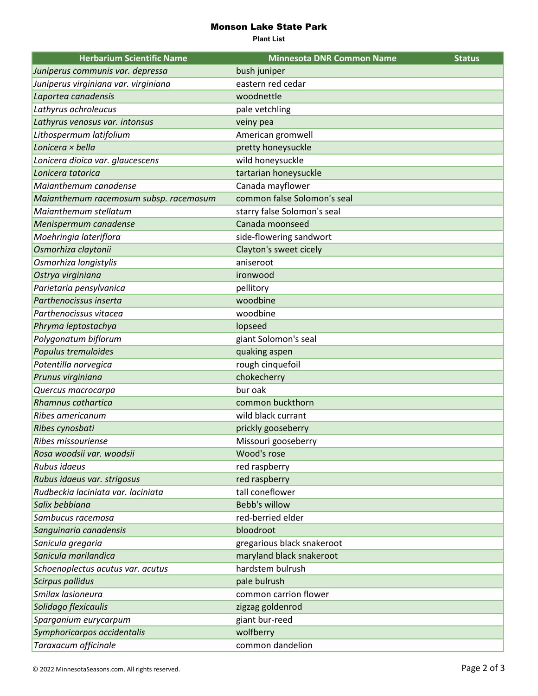## Monson Lake State Park

**Plant List**

| <b>Herbarium Scientific Name</b>       | <b>Minnesota DNR Common Name</b> | <b>Status</b> |
|----------------------------------------|----------------------------------|---------------|
| Juniperus communis var. depressa       | bush juniper                     |               |
| Juniperus virginiana var. virginiana   | eastern red cedar                |               |
| Laportea canadensis                    | woodnettle                       |               |
| Lathyrus ochroleucus                   | pale vetchling                   |               |
| Lathyrus venosus var. intonsus         | veiny pea                        |               |
| Lithospermum latifolium                | American gromwell                |               |
| Lonicera × bella                       | pretty honeysuckle               |               |
| Lonicera dioica var. glaucescens       | wild honeysuckle                 |               |
| Lonicera tatarica                      | tartarian honeysuckle            |               |
| Maianthemum canadense                  | Canada mayflower                 |               |
| Maianthemum racemosum subsp. racemosum | common false Solomon's seal      |               |
| Maianthemum stellatum                  | starry false Solomon's seal      |               |
| Menispermum canadense                  | Canada moonseed                  |               |
| Moehringia lateriflora                 | side-flowering sandwort          |               |
| Osmorhiza claytonii                    | Clayton's sweet cicely           |               |
| Osmorhiza longistylis                  | aniseroot                        |               |
| Ostrya virginiana                      | ironwood                         |               |
| Parietaria pensylvanica                | pellitory                        |               |
| Parthenocissus inserta                 | woodbine                         |               |
| Parthenocissus vitacea                 | woodbine                         |               |
| Phryma leptostachya                    | lopseed                          |               |
| Polygonatum biflorum                   | giant Solomon's seal             |               |
| Populus tremuloides                    | quaking aspen                    |               |
| Potentilla norvegica                   | rough cinquefoil                 |               |
| Prunus virginiana                      | chokecherry                      |               |
| Quercus macrocarpa                     | bur oak                          |               |
| Rhamnus cathartica                     | common buckthorn                 |               |
| Ribes americanum                       | wild black currant               |               |
| Ribes cynosbati                        | prickly gooseberry               |               |
| Ribes missouriense                     | Missouri gooseberry              |               |
| Rosa woodsii var. woodsii              | Wood's rose                      |               |
| Rubus idaeus                           | red raspberry                    |               |
| Rubus idaeus var. strigosus            | red raspberry                    |               |
| Rudbeckia laciniata var. laciniata     | tall coneflower                  |               |
| Salix bebbiana                         | Bebb's willow                    |               |
| Sambucus racemosa                      | red-berried elder                |               |
| Sanguinaria canadensis                 | bloodroot                        |               |
| Sanicula gregaria                      | gregarious black snakeroot       |               |
| Sanicula marilandica                   | maryland black snakeroot         |               |
| Schoenoplectus acutus var. acutus      | hardstem bulrush                 |               |
| Scirpus pallidus                       | pale bulrush                     |               |
| Smilax lasioneura                      | common carrion flower            |               |
| Solidago flexicaulis                   | zigzag goldenrod                 |               |
| Sparganium eurycarpum                  | giant bur-reed                   |               |
| Symphoricarpos occidentalis            | wolfberry                        |               |
| Taraxacum officinale                   | common dandelion                 |               |